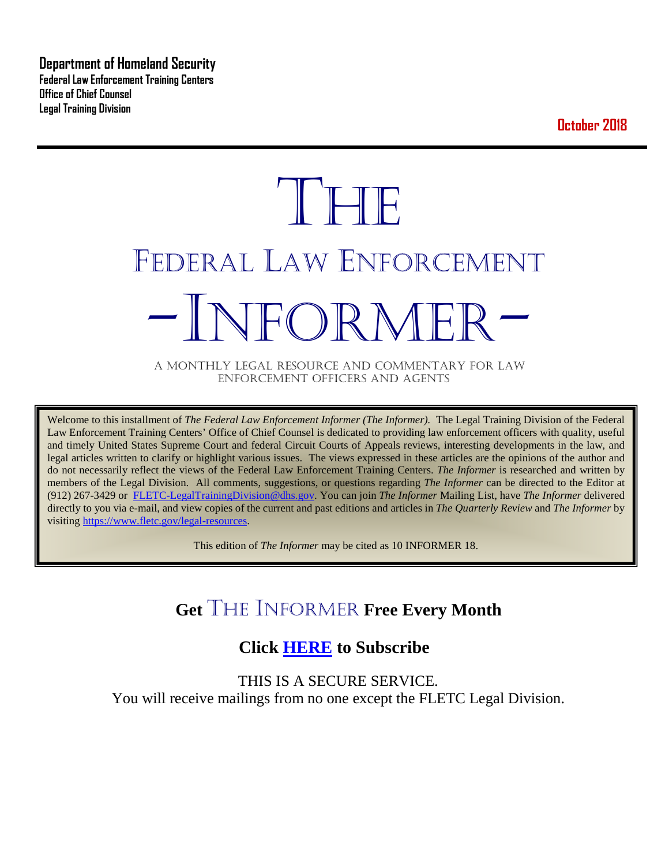**Department of Homeland Security Federal Law Enforcement Training Centers Office of Chief Counsel Legal Training Division** 

**October 2018**

# **THE** FEDERAL LAW ENFORCEMENT -INFORMER- A MONTHLY LEGAL RESOURCE AND COMMENTARY FOR LAW

ENFORCEMENT OFFICERS AND AGENTS

Welcome to this installment of *The Federal Law Enforcement Informer (The Informer).* The Legal Training Division of the Federal Law Enforcement Training Centers' Office of Chief Counsel is dedicated to providing law enforcement officers with quality, useful and timely United States Supreme Court and federal Circuit Courts of Appeals reviews, interesting developments in the law, and legal articles written to clarify or highlight various issues. The views expressed in these articles are the opinions of the author and do not necessarily reflect the views of the Federal Law Enforcement Training Centers. *The Informer* is researched and written by members of the Legal Division. All comments, suggestions, or questions regarding *The Informer* can be directed to the Editor at (912) 267-3429 or [FLETC-LegalTrainingDivision@dhs.gov.](mailto:FLETC-LegalTrainingDivision@dhs.gov) You can join *The Informer* Mailing List, have *The Informer* delivered directly to you via e-mail, and view copies of the current and past editions and articles in *The Quarterly Review* and *The Informer* by visiting [https://www.fletc.gov/legal-resources.](https://www.fletc.gov/legal-resources) 

This edition of *The Informer* may be cited as 10 INFORMER 18.

# **Get** THE INFORMER **Free Every Month**

## **Click [HERE](https://app.co-sender.com/opt-in/list/7b007eab-378b-4542-807f-44d6de94cb7e) to Subscribe**

THIS IS A SECURE SERVICE. You will receive mailings from no one except the FLETC Legal Division.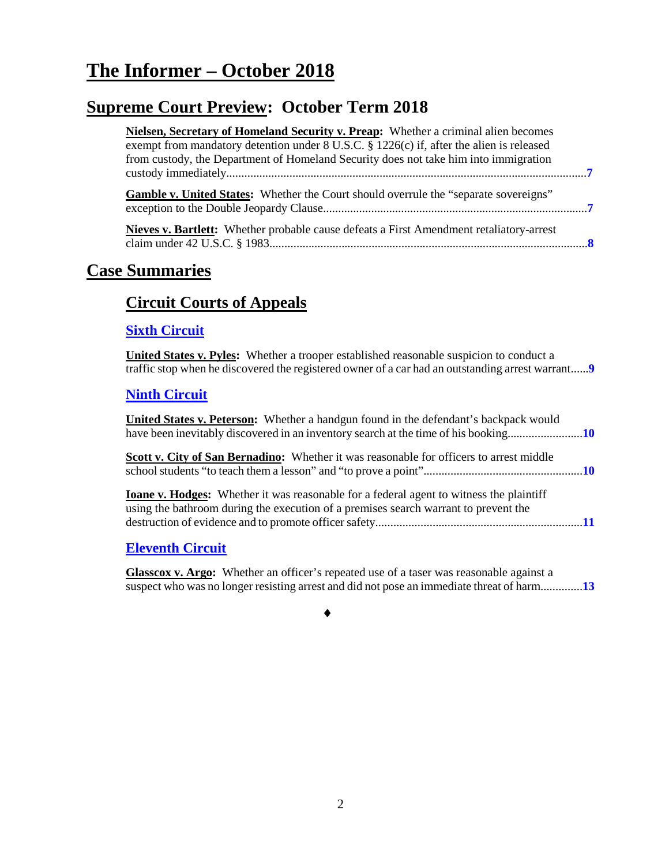# **The Informer – October 2018**

# **Supreme Court Preview: October Term 2018**

| Nielsen, Secretary of Homeland Security v. Preap: Whether a criminal alien becomes                                                                                                                  |
|-----------------------------------------------------------------------------------------------------------------------------------------------------------------------------------------------------|
| exempt from mandatory detention under 8 U.S.C. § 1226(c) if, after the alien is released<br>from custody, the Department of Homeland Security does not take him into immigration                    |
| <b>Gamble v. United States:</b> Whether the Court should overrule the "separate sovereigns"                                                                                                         |
| <b>Nieves v. Bartlett:</b> Whether probable cause defeats a First Amendment retaliatory-arrest                                                                                                      |
| <b>Case Summaries</b>                                                                                                                                                                               |
| <b>Circuit Courts of Appeals</b>                                                                                                                                                                    |
| <b>Sixth Circuit</b>                                                                                                                                                                                |
| <b>United States v. Pyles:</b> Whether a trooper established reasonable suspicion to conduct a<br>traffic stop when he discovered the registered owner of a car had an outstanding arrest warrant 9 |
| <b>Ninth Circuit</b>                                                                                                                                                                                |
| United States v. Peterson: Whether a handgun found in the defendant's backpack would<br>have been inevitably discovered in an inventory search at the time of his booking10                         |
| Scott v. City of San Bernadino: Whether it was reasonable for officers to arrest middle                                                                                                             |
| <b>Ioane v. Hodges:</b> Whether it was reasonable for a federal agent to witness the plaintiff<br>using the bathroom during the execution of a premises search warrant to prevent the               |
|                                                                                                                                                                                                     |

#### **[Eleventh Circuit](#page-12-0)**

**Glasscox v. Argo:** Whether an officer's repeated use of a taser was reasonable against a suspect who was no longer resisting arrest and did not pose an immediate threat of harm..............**[13](#page-12-1)**

♦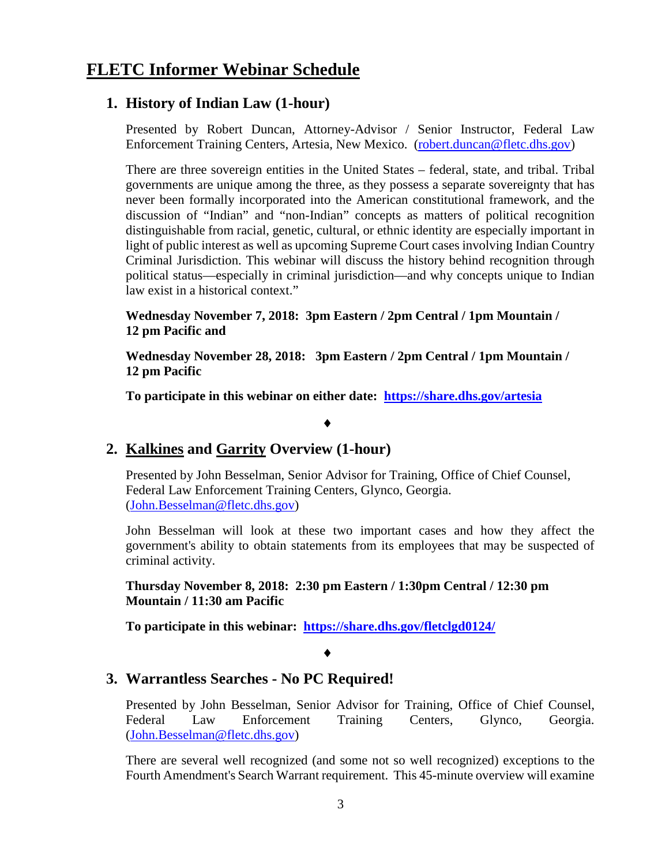### **FLETC Informer Webinar Schedule**

#### **1. History of Indian Law (1-hour)**

Presented by Robert Duncan, Attorney-Advisor / Senior Instructor, Federal Law Enforcement Training Centers, Artesia, New Mexico. [\(robert.duncan@fletc.dhs.gov\)](mailto:robert.duncan@fletc.dhs.gov)

There are three sovereign entities in the United States – federal, state, and tribal. Tribal governments are unique among the three, as they possess a separate sovereignty that has never been formally incorporated into the American constitutional framework, and the discussion of "Indian" and "non-Indian" concepts as matters of political recognition distinguishable from racial, genetic, cultural, or ethnic identity are especially important in light of public interest as well as upcoming Supreme Court cases involving Indian Country Criminal Jurisdiction. This webinar will discuss the history behind recognition through political status—especially in criminal jurisdiction—and why concepts unique to Indian law exist in a historical context."

**Wednesday November 7, 2018: 3pm Eastern / 2pm Central / 1pm Mountain / 12 pm Pacific and**

**Wednesday November 28, 2018: 3pm Eastern / 2pm Central / 1pm Mountain / 12 pm Pacific**

**To participate in this webinar on either date: <https://share.dhs.gov/artesia>**

#### ♦

#### **2. Kalkines and Garrity Overview (1-hour)**

Presented by John Besselman, Senior Advisor for Training, Office of Chief Counsel, Federal Law Enforcement Training Centers, Glynco, Georgia. [\(John.Besselman@fletc.dhs.gov\)](mailto:John.Besselman@fletc.dhs.gov)

John Besselman will look at these two important cases and how they affect the government's ability to obtain statements from its employees that may be suspected of criminal activity.

**Thursday November 8, 2018: 2:30 pm Eastern / 1:30pm Central / 12:30 pm Mountain / 11:30 am Pacific**

**To participate in this webinar: <https://share.dhs.gov/fletclgd0124/>**

#### ♦

#### **3. Warrantless Searches - No PC Required!**

Presented by John Besselman, Senior Advisor for Training, Office of Chief Counsel, Federal Law Enforcement Training Centers, Glynco, Georgia. [\(John.Besselman@fletc.dhs.gov\)](mailto:John.Besselman@fletc.dhs.gov)

There are several well recognized (and some not so well recognized) exceptions to the Fourth Amendment's Search Warrant requirement. This 45-minute overview will examine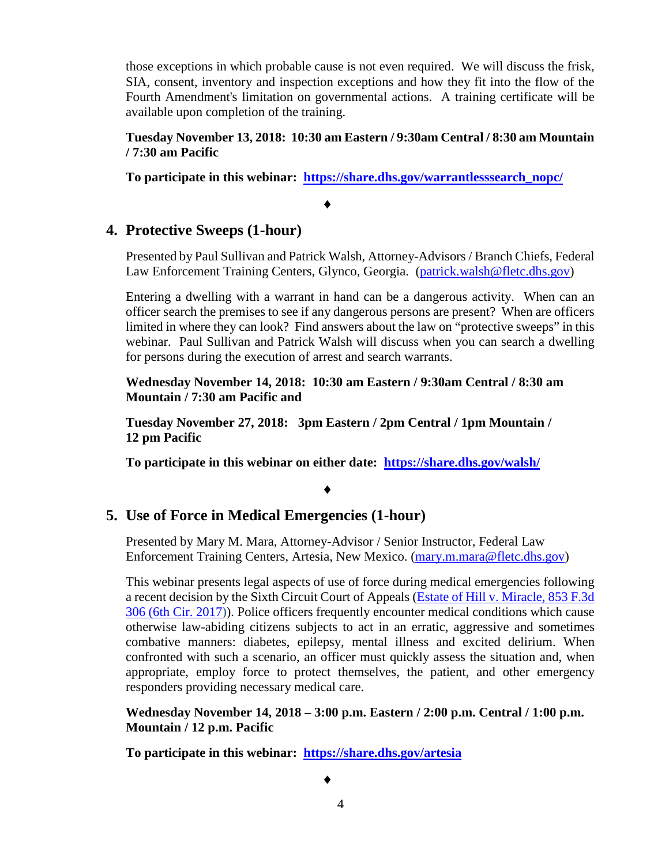those exceptions in which probable cause is not even required. We will discuss the frisk, SIA, consent, inventory and inspection exceptions and how they fit into the flow of the Fourth Amendment's limitation on governmental actions. A training certificate will be available upon completion of the training.

**Tuesday November 13, 2018: 10:30 am Eastern / 9:30am Central / 8:30 am Mountain / 7:30 am Pacific** 

**To participate in this webinar: [https://share.dhs.gov/warrantlesssearch\\_nopc/](https://share.dhs.gov/warrantlesssearch_nopc/)**

#### ♦

#### **4. Protective Sweeps (1-hour)**

Presented by Paul Sullivan and Patrick Walsh, Attorney-Advisors / Branch Chiefs, Federal Law Enforcement Training Centers, Glynco, Georgia. [\(patrick.walsh@fletc.dhs.gov\)](mailto:patrick.walsh@fletc.dhs.gov)

Entering a dwelling with a warrant in hand can be a dangerous activity. When can an officer search the premises to see if any dangerous persons are present? When are officers limited in where they can look? Find answers about the law on "protective sweeps" in this webinar. Paul Sullivan and Patrick Walsh will discuss when you can search a dwelling for persons during the execution of arrest and search warrants.

**Wednesday November 14, 2018: 10:30 am Eastern / 9:30am Central / 8:30 am Mountain / 7:30 am Pacific and**

**Tuesday November 27, 2018: 3pm Eastern / 2pm Central / 1pm Mountain / 12 pm Pacific**

**To participate in this webinar on either date: <https://share.dhs.gov/walsh/>**

#### ♦

#### **5. Use of Force in Medical Emergencies (1-hour)**

Presented by Mary M. Mara, Attorney-Advisor / Senior Instructor, Federal Law Enforcement Training Centers, Artesia, New Mexico. [\(mary.m.mara@fletc.dhs.gov\)](mailto:mary.m.mara@fletc.dhs.gov)

This webinar presents legal aspects of use of force during medical emergencies following a recent decision by the Sixth Circuit Court of Appeals [\(Estate of Hill v. Miracle, 853 F.3d](https://cases.justia.com/federal/appellate-courts/ca6/16-1818/16-1818-2017-04-04.pdf?ts=1491832850)  [306 \(6th Cir. 2017\)\).](https://cases.justia.com/federal/appellate-courts/ca6/16-1818/16-1818-2017-04-04.pdf?ts=1491832850) Police officers frequently encounter medical conditions which cause otherwise law-abiding citizens subjects to act in an erratic, aggressive and sometimes combative manners: diabetes, epilepsy, mental illness and excited delirium. When confronted with such a scenario, an officer must quickly assess the situation and, when appropriate, employ force to protect themselves, the patient, and other emergency responders providing necessary medical care.

**Wednesday November 14, 2018 – 3:00 p.m. Eastern / 2:00 p.m. Central / 1:00 p.m. Mountain / 12 p.m. Pacific** 

**To participate in this webinar: <https://share.dhs.gov/artesia>**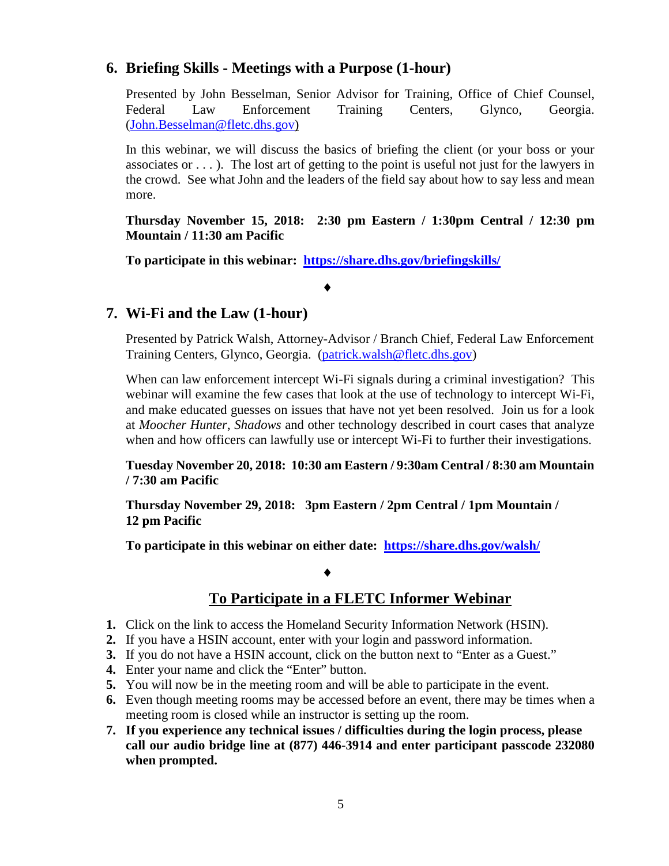#### **6. Briefing Skills - Meetings with a Purpose (1-hour)**

Presented by John Besselman, Senior Advisor for Training, Office of Chief Counsel, Federal Law Enforcement Training Centers, Glynco, Georgia. [\(John.Besselman@fletc.dhs.gov\)](mailto:John.Besselman@fletc.dhs.gov)

In this webinar, we will discuss the basics of briefing the client (or your boss or your associates or  $\dots$ ). The lost art of getting to the point is useful not just for the lawyers in the crowd. See what John and the leaders of the field say about how to say less and mean more.

**Thursday November 15, 2018: 2:30 pm Eastern / 1:30pm Central / 12:30 pm Mountain / 11:30 am Pacific** 

**To participate in this webinar: <https://share.dhs.gov/briefingskills/>**

♦

#### **7. Wi-Fi and the Law (1-hour)**

Presented by Patrick Walsh, Attorney-Advisor / Branch Chief, Federal Law Enforcement Training Centers, Glynco, Georgia. [\(patrick.walsh@fletc.dhs.gov\)](mailto:patrick.walsh@fletc.dhs.gov)

When can law enforcement intercept Wi-Fi signals during a criminal investigation? This webinar will examine the few cases that look at the use of technology to intercept Wi-Fi, and make educated guesses on issues that have not yet been resolved. Join us for a look at *Moocher Hunter*, *Shadows* and other technology described in court cases that analyze when and how officers can lawfully use or intercept Wi-Fi to further their investigations.

**Tuesday November 20, 2018: 10:30 am Eastern / 9:30am Central / 8:30 am Mountain / 7:30 am Pacific** 

**Thursday November 29, 2018: 3pm Eastern / 2pm Central / 1pm Mountain / 12 pm Pacific**

**To participate in this webinar on either date: <https://share.dhs.gov/walsh/>**

#### ♦

#### **To Participate in a FLETC Informer Webinar**

- **1.** Click on the link to access the Homeland Security Information Network (HSIN).
- **2.** If you have a HSIN account, enter with your login and password information.
- **3.** If you do not have a HSIN account, click on the button next to "Enter as a Guest."
- **4.** Enter your name and click the "Enter" button.
- **5.** You will now be in the meeting room and will be able to participate in the event.
- **6.** Even though meeting rooms may be accessed before an event, there may be times when a meeting room is closed while an instructor is setting up the room.
- **7. If you experience any technical issues / difficulties during the login process, please call our audio bridge line at (877) 446-3914 and enter participant passcode 232080 when prompted.**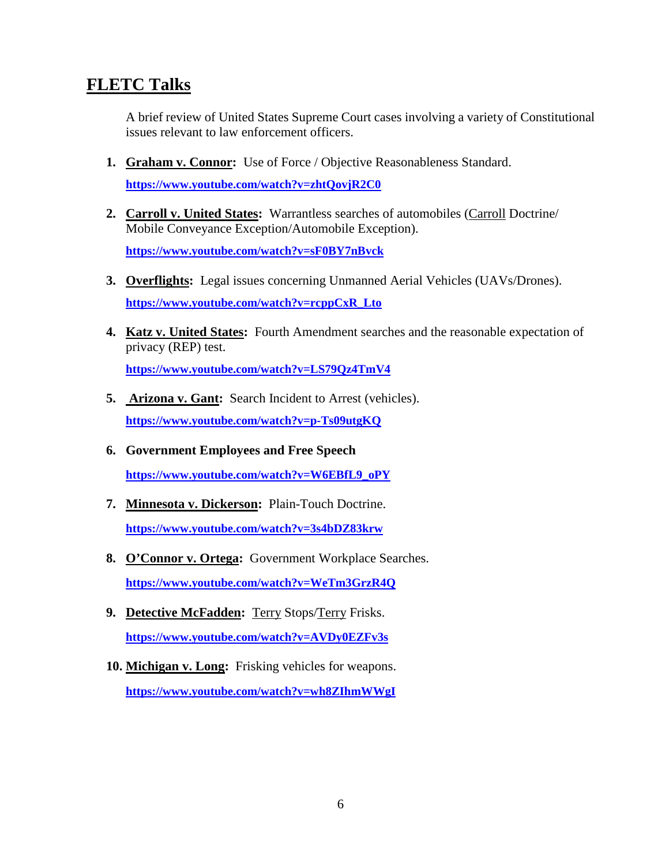#### **FLETC Talks**

A brief review of United States Supreme Court cases involving a variety of Constitutional issues relevant to law enforcement officers.

- **1. Graham v. Connor:** Use of Force / Objective Reasonableness Standard. **<https://www.youtube.com/watch?v=zhtQovjR2C0>**
- **2. Carroll v. United States:** Warrantless searches of automobiles (Carroll Doctrine/ Mobile Conveyance Exception/Automobile Exception).

**<https://www.youtube.com/watch?v=sF0BY7nBvck>**

- **3. Overflights:** Legal issues concerning Unmanned Aerial Vehicles (UAVs/Drones). **[https://www.youtube.com/watch?v=rcppCxR\\_Lto](https://www.youtube.com/watch?v=rcppCxR_Lto)**
- **4. Katz v. United States:** Fourth Amendment searches and the reasonable expectation of privacy (REP) test. **<https://www.youtube.com/watch?v=LS79Qz4TmV4>**
- **5. Arizona v. Gant:** Search Incident to Arrest (vehicles). **<https://www.youtube.com/watch?v=p-Ts09utgKQ>**
- **6. Government Employees and Free Speech [https://www.youtube.com/watch?v=W6EBfL9\\_oPY](https://www.youtube.com/watch?v=W6EBfL9_oPY)**
- **7. Minnesota v. Dickerson:** Plain-Touch Doctrine. **<https://www.youtube.com/watch?v=3s4bDZ83krw>**
- **8. O'Connor v. Ortega:** Government Workplace Searches. **<https://www.youtube.com/watch?v=WeTm3GrzR4Q>**
- **9. Detective McFadden:** Terry Stops/Terry Frisks. **<https://www.youtube.com/watch?v=AVDy0EZFv3s>**
- **10. Michigan v. Long:** Frisking vehicles for weapons. **<https://www.youtube.com/watch?v=wh8ZIhmWWgI>**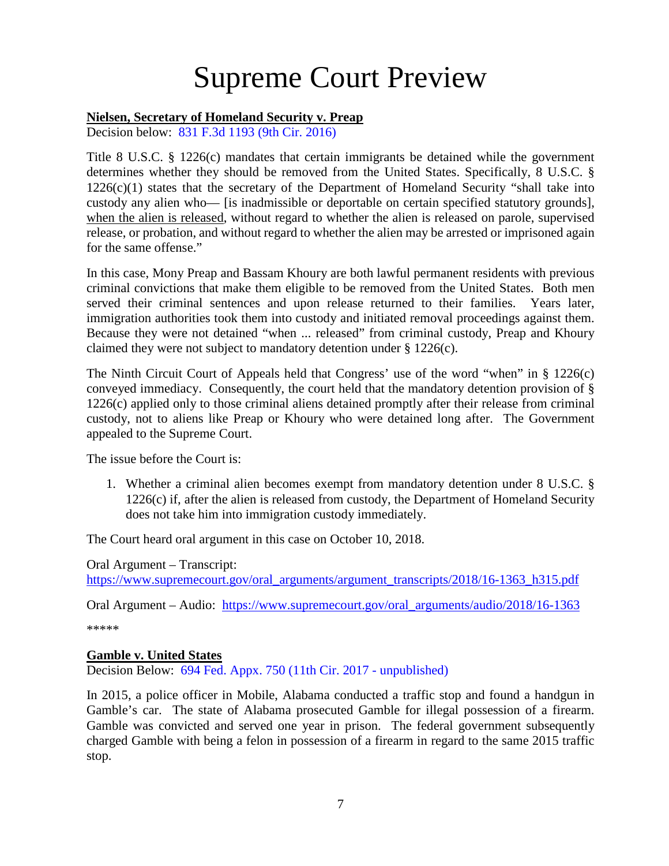# Supreme Court Preview

#### <span id="page-6-0"></span>**Nielsen, Secretary of Homeland Security v. Preap**

Decision below: [831 F.3d 1193 \(9th Cir. 2016\)](https://cases.justia.com/federal/appellate-courts/ca9/14-16326/14-16326-2016-08-04.pdf?ts=1470330306)

Title 8 U.S.C. § 1226(c) mandates that certain immigrants be detained while the government determines whether they should be removed from the United States. Specifically, 8 U.S.C. §  $1226(c)(1)$  states that the secretary of the Department of Homeland Security "shall take into custody any alien who— [is inadmissible or deportable on certain specified statutory grounds], when the alien is released, without regard to whether the alien is released on parole, supervised release, or probation, and without regard to whether the alien may be arrested or imprisoned again for the same offense."

In this case, Mony Preap and Bassam Khoury are both lawful permanent residents with previous criminal convictions that make them eligible to be removed from the United States. Both men served their criminal sentences and upon release returned to their families. Years later, immigration authorities took them into custody and initiated removal proceedings against them. Because they were not detained "when ... released" from criminal custody, Preap and Khoury claimed they were not subject to mandatory detention under § 1226(c).

The Ninth Circuit Court of Appeals held that Congress' use of the word "when" in § 1226(c) conveyed immediacy. Consequently, the court held that the mandatory detention provision of § 1226(c) applied only to those criminal aliens detained promptly after their release from criminal custody, not to aliens like Preap or Khoury who were detained long after. The Government appealed to the Supreme Court.

The issue before the Court is:

1. Whether a criminal alien becomes exempt from mandatory detention under 8 U.S.C. § 1226(c) if, after the alien is released from custody, the Department of Homeland Security does not take him into immigration custody immediately.

The Court heard oral argument in this case on October 10, 2018.

Oral Argument – Transcript: [https://www.supremecourt.gov/oral\\_arguments/argument\\_transcripts/2018/16-1363\\_h315.pdf](https://www.supremecourt.gov/oral_arguments/argument_transcripts/2018/16-1363_h315.pdf)

Oral Argument – Audio: [https://www.supremecourt.gov/oral\\_arguments/audio/2018/16-1363](https://www.supremecourt.gov/oral_arguments/audio/2018/16-1363)

\*\*\*\*\*

#### <span id="page-6-1"></span>**Gamble v. United States**

Decision Below: [694 Fed. Appx. 750 \(11th Cir. 2017 -](http://www.scotusblog.com/wp-content/uploads/2018/04/17-646-opinion-below.pdf) unpublished)

In 2015, a police officer in Mobile, Alabama conducted a traffic stop and found a handgun in Gamble's car. The state of Alabama prosecuted Gamble for illegal possession of a firearm. Gamble was convicted and served one year in prison. The federal government subsequently charged Gamble with being a felon in possession of a firearm in regard to the same 2015 traffic stop.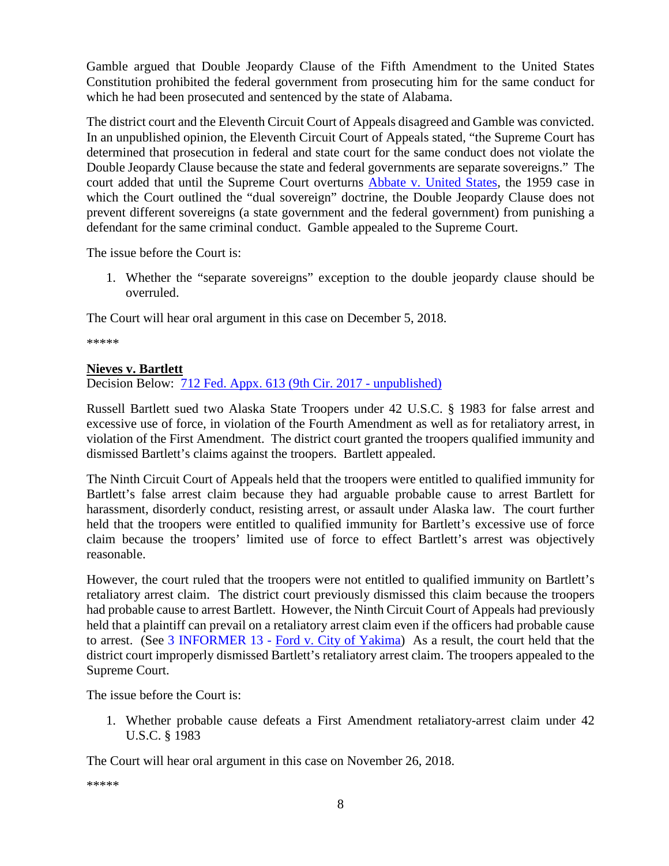Gamble argued that Double Jeopardy Clause of the Fifth Amendment to the United States Constitution prohibited the federal government from prosecuting him for the same conduct for which he had been prosecuted and sentenced by the state of Alabama.

The district court and the Eleventh Circuit Court of Appeals disagreed and Gamble was convicted. In an unpublished opinion, the Eleventh Circuit Court of Appeals stated, "the Supreme Court has determined that prosecution in federal and state court for the same conduct does not violate the Double Jeopardy Clause because the state and federal governments are separate sovereigns." The court added that until the Supreme Court overturns [Abbate v. United States,](https://supreme.justia.com/cases/federal/us/359/187/) the 1959 case in which the Court outlined the "dual sovereign" doctrine, the Double Jeopardy Clause does not prevent different sovereigns (a state government and the federal government) from punishing a defendant for the same criminal conduct. Gamble appealed to the Supreme Court.

The issue before the Court is:

1. Whether the "separate sovereigns" exception to the double jeopardy clause should be overruled.

The Court will hear oral argument in this case on December 5, 2018.

\*\*\*\*\*

#### <span id="page-7-0"></span>**Nieves v. Bartlett**

Decision Below: [712 Fed. Appx. 613 \(9th Cir. 2017 -](http://www.scotusblog.com/wp-content/uploads/2018/06/17-1174-opinion-below.pdf) unpublished)

Russell Bartlett sued two Alaska State Troopers under 42 U.S.C. § 1983 for false arrest and excessive use of force, in violation of the Fourth Amendment as well as for retaliatory arrest, in violation of the First Amendment. The district court granted the troopers qualified immunity and dismissed Bartlett's claims against the troopers. Bartlett appealed.

The Ninth Circuit Court of Appeals held that the troopers were entitled to qualified immunity for Bartlett's false arrest claim because they had arguable probable cause to arrest Bartlett for harassment, disorderly conduct, resisting arrest, or assault under Alaska law. The court further held that the troopers were entitled to qualified immunity for Bartlett's excessive use of force claim because the troopers' limited use of force to effect Bartlett's arrest was objectively reasonable.

However, the court ruled that the troopers were not entitled to qualified immunity on Bartlett's retaliatory arrest claim. The district court previously dismissed this claim because the troopers had probable cause to arrest Bartlett. However, the Ninth Circuit Court of Appeals had previously held that a plaintiff can prevail on a retaliatory arrest claim even if the officers had probable cause to arrest. (See 3 INFORMER 13 - [Ford v. City of Yakima\)](https://www.fletc.gov/sites/default/files/imported_files/training/programs/legal-division/the-informer/informer-editions-2013/3Informer13.pdf) As a result, the court held that the district court improperly dismissed Bartlett's retaliatory arrest claim. The troopers appealed to the Supreme Court.

The issue before the Court is:

1. Whether probable cause defeats a First Amendment retaliatory-arrest claim under 42 U.S.C. § 1983

The Court will hear oral argument in this case on November 26, 2018.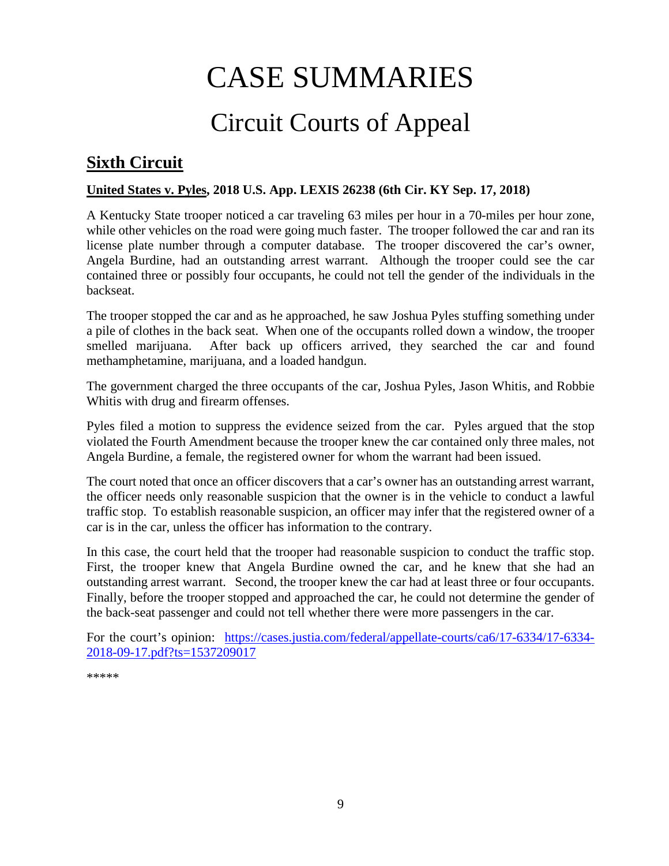# CASE SUMMARIES

# Circuit Courts of Appeal

## <span id="page-8-1"></span><span id="page-8-0"></span>**Sixth Circuit**

#### <span id="page-8-2"></span>**United States v. Pyles, 2018 U.S. App. LEXIS 26238 (6th Cir. KY Sep. 17, 2018)**

A Kentucky State trooper noticed a car traveling 63 miles per hour in a 70-miles per hour zone, while other vehicles on the road were going much faster. The trooper followed the car and ran its license plate number through a computer database. The trooper discovered the car's owner, Angela Burdine, had an outstanding arrest warrant. Although the trooper could see the car contained three or possibly four occupants, he could not tell the gender of the individuals in the backseat.

The trooper stopped the car and as he approached, he saw Joshua Pyles stuffing something under a pile of clothes in the back seat. When one of the occupants rolled down a window, the trooper smelled marijuana. After back up officers arrived, they searched the car and found methamphetamine, marijuana, and a loaded handgun.

The government charged the three occupants of the car, Joshua Pyles, Jason Whitis, and Robbie Whitis with drug and firearm offenses.

Pyles filed a motion to suppress the evidence seized from the car. Pyles argued that the stop violated the Fourth Amendment because the trooper knew the car contained only three males, not Angela Burdine, a female, the registered owner for whom the warrant had been issued.

The court noted that once an officer discovers that a car's owner has an outstanding arrest warrant, the officer needs only reasonable suspicion that the owner is in the vehicle to conduct a lawful traffic stop. To establish reasonable suspicion, an officer may infer that the registered owner of a car is in the car, unless the officer has information to the contrary.

In this case, the court held that the trooper had reasonable suspicion to conduct the traffic stop. First, the trooper knew that Angela Burdine owned the car, and he knew that she had an outstanding arrest warrant. Second, the trooper knew the car had at least three or four occupants. Finally, before the trooper stopped and approached the car, he could not determine the gender of the back-seat passenger and could not tell whether there were more passengers in the car.

For the court's opinion: [https://cases.justia.com/federal/appellate-courts/ca6/17-6334/17-6334-](https://cases.justia.com/federal/appellate-courts/ca6/17-6334/17-6334-2018-09-17.pdf?ts=1537209017) [2018-09-17.pdf?ts=1537209017](https://cases.justia.com/federal/appellate-courts/ca6/17-6334/17-6334-2018-09-17.pdf?ts=1537209017)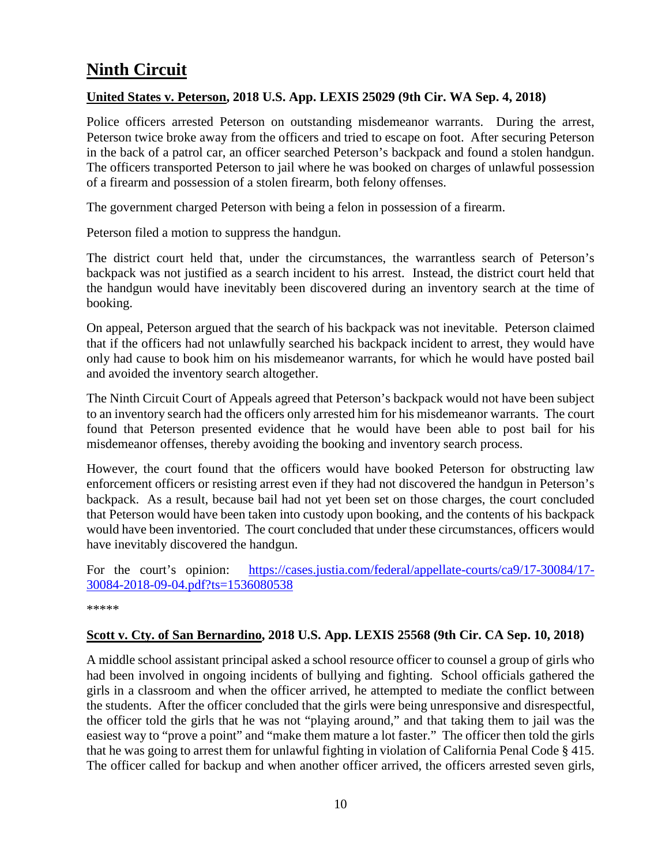# <span id="page-9-0"></span>**Ninth Circuit**

#### <span id="page-9-1"></span>**United States v. Peterson, 2018 U.S. App. LEXIS 25029 (9th Cir. WA Sep. 4, 2018)**

Police officers arrested Peterson on outstanding misdemeanor warrants. During the arrest, Peterson twice broke away from the officers and tried to escape on foot. After securing Peterson in the back of a patrol car, an officer searched Peterson's backpack and found a stolen handgun. The officers transported Peterson to jail where he was booked on charges of unlawful possession of a firearm and possession of a stolen firearm, both felony offenses.

The government charged Peterson with being a felon in possession of a firearm.

Peterson filed a motion to suppress the handgun.

The district court held that, under the circumstances, the warrantless search of Peterson's backpack was not justified as a search incident to his arrest. Instead, the district court held that the handgun would have inevitably been discovered during an inventory search at the time of booking.

On appeal, Peterson argued that the search of his backpack was not inevitable. Peterson claimed that if the officers had not unlawfully searched his backpack incident to arrest, they would have only had cause to book him on his misdemeanor warrants, for which he would have posted bail and avoided the inventory search altogether.

The Ninth Circuit Court of Appeals agreed that Peterson's backpack would not have been subject to an inventory search had the officers only arrested him for his misdemeanor warrants. The court found that Peterson presented evidence that he would have been able to post bail for his misdemeanor offenses, thereby avoiding the booking and inventory search process.

However, the court found that the officers would have booked Peterson for obstructing law enforcement officers or resisting arrest even if they had not discovered the handgun in Peterson's backpack. As a result, because bail had not yet been set on those charges, the court concluded that Peterson would have been taken into custody upon booking, and the contents of his backpack would have been inventoried. The court concluded that under these circumstances, officers would have inevitably discovered the handgun.

For the court's opinion: [https://cases.justia.com/federal/appellate-courts/ca9/17-30084/17-](https://cases.justia.com/federal/appellate-courts/ca9/17-30084/17-30084-2018-09-04.pdf?ts=1536080538) [30084-2018-09-04.pdf?ts=1536080538](https://cases.justia.com/federal/appellate-courts/ca9/17-30084/17-30084-2018-09-04.pdf?ts=1536080538)

\*\*\*\*\*

#### <span id="page-9-2"></span>**Scott v. Cty. of San Bernardino, 2018 U.S. App. LEXIS 25568 (9th Cir. CA Sep. 10, 2018)**

A middle school assistant principal asked a school resource officer to counsel a group of girls who had been involved in ongoing incidents of bullying and fighting. School officials gathered the girls in a classroom and when the officer arrived, he attempted to mediate the conflict between the students. After the officer concluded that the girls were being unresponsive and disrespectful, the officer told the girls that he was not "playing around," and that taking them to jail was the easiest way to "prove a point" and "make them mature a lot faster." The officer then told the girls that he was going to arrest them for unlawful fighting in violation of California Penal Code § 415. The officer called for backup and when another officer arrived, the officers arrested seven girls,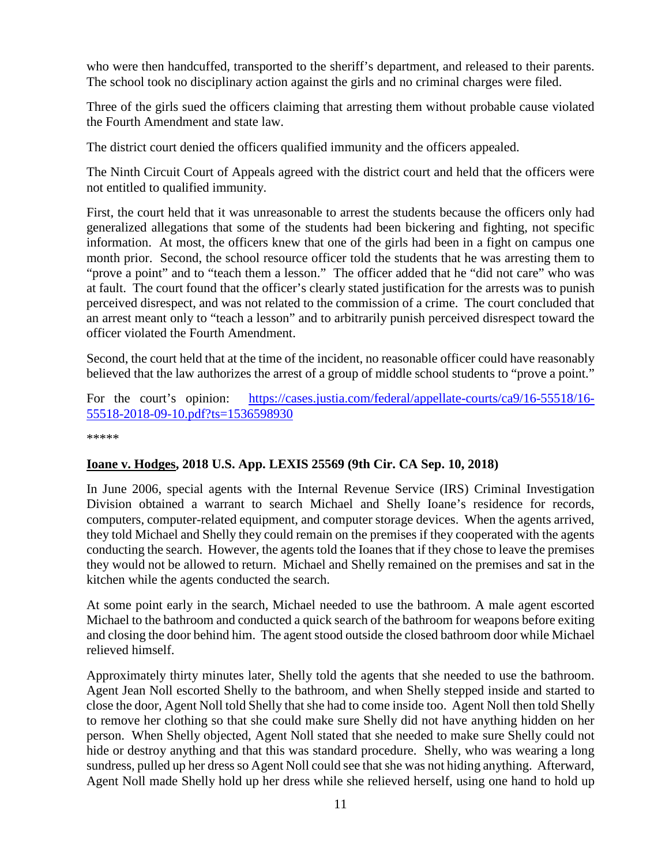who were then handcuffed, transported to the sheriff's department, and released to their parents. The school took no disciplinary action against the girls and no criminal charges were filed.

Three of the girls sued the officers claiming that arresting them without probable cause violated the Fourth Amendment and state law.

The district court denied the officers qualified immunity and the officers appealed.

The Ninth Circuit Court of Appeals agreed with the district court and held that the officers were not entitled to qualified immunity.

First, the court held that it was unreasonable to arrest the students because the officers only had generalized allegations that some of the students had been bickering and fighting, not specific information. At most, the officers knew that one of the girls had been in a fight on campus one month prior. Second, the school resource officer told the students that he was arresting them to "prove a point" and to "teach them a lesson." The officer added that he "did not care" who was at fault. The court found that the officer's clearly stated justification for the arrests was to punish perceived disrespect, and was not related to the commission of a crime. The court concluded that an arrest meant only to "teach a lesson" and to arbitrarily punish perceived disrespect toward the officer violated the Fourth Amendment.

Second, the court held that at the time of the incident, no reasonable officer could have reasonably believed that the law authorizes the arrest of a group of middle school students to "prove a point."

For the court's opinion: [https://cases.justia.com/federal/appellate-courts/ca9/16-55518/16-](https://cases.justia.com/federal/appellate-courts/ca9/16-55518/16-55518-2018-09-10.pdf?ts=1536598930) [55518-2018-09-10.pdf?ts=1536598930](https://cases.justia.com/federal/appellate-courts/ca9/16-55518/16-55518-2018-09-10.pdf?ts=1536598930)

\*\*\*\*\*

#### <span id="page-10-0"></span>**Ioane v. Hodges, 2018 U.S. App. LEXIS 25569 (9th Cir. CA Sep. 10, 2018)**

In June 2006, special agents with the Internal Revenue Service (IRS) Criminal Investigation Division obtained a warrant to search Michael and Shelly Ioane's residence for records, computers, computer-related equipment, and computer storage devices. When the agents arrived, they told Michael and Shelly they could remain on the premises if they cooperated with the agents conducting the search. However, the agents told the Ioanes that if they chose to leave the premises they would not be allowed to return. Michael and Shelly remained on the premises and sat in the kitchen while the agents conducted the search.

At some point early in the search, Michael needed to use the bathroom. A male agent escorted Michael to the bathroom and conducted a quick search of the bathroom for weapons before exiting and closing the door behind him. The agent stood outside the closed bathroom door while Michael relieved himself.

Approximately thirty minutes later, Shelly told the agents that she needed to use the bathroom. Agent Jean Noll escorted Shelly to the bathroom, and when Shelly stepped inside and started to close the door, Agent Noll told Shelly that she had to come inside too. Agent Noll then told Shelly to remove her clothing so that she could make sure Shelly did not have anything hidden on her person. When Shelly objected, Agent Noll stated that she needed to make sure Shelly could not hide or destroy anything and that this was standard procedure. Shelly, who was wearing a long sundress, pulled up her dress so Agent Noll could see that she was not hiding anything. Afterward, Agent Noll made Shelly hold up her dress while she relieved herself, using one hand to hold up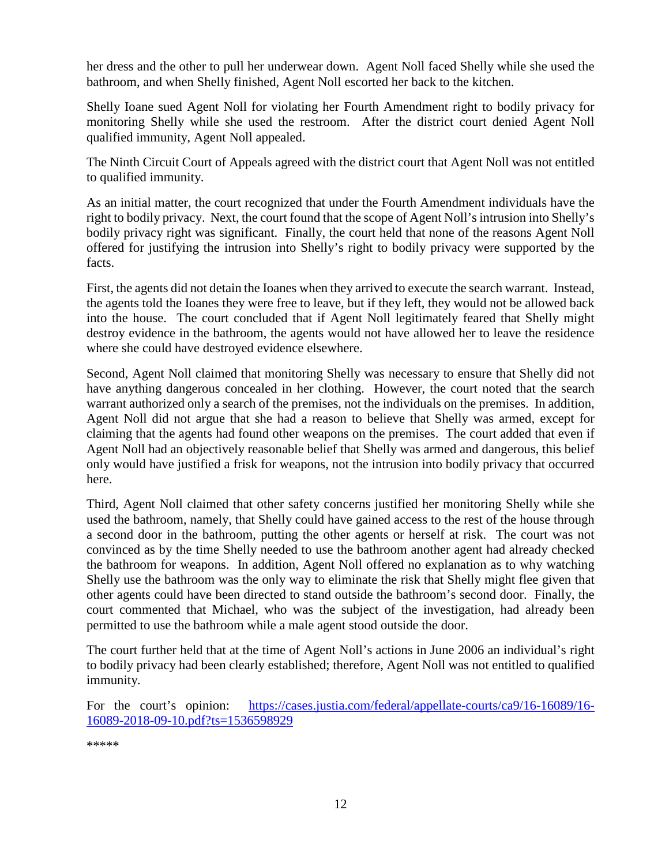her dress and the other to pull her underwear down. Agent Noll faced Shelly while she used the bathroom, and when Shelly finished, Agent Noll escorted her back to the kitchen.

Shelly Ioane sued Agent Noll for violating her Fourth Amendment right to bodily privacy for monitoring Shelly while she used the restroom. After the district court denied Agent Noll qualified immunity, Agent Noll appealed.

The Ninth Circuit Court of Appeals agreed with the district court that Agent Noll was not entitled to qualified immunity.

As an initial matter, the court recognized that under the Fourth Amendment individuals have the right to bodily privacy. Next, the court found that the scope of Agent Noll's intrusion into Shelly's bodily privacy right was significant. Finally, the court held that none of the reasons Agent Noll offered for justifying the intrusion into Shelly's right to bodily privacy were supported by the facts.

First, the agents did not detain the Ioanes when they arrived to execute the search warrant. Instead, the agents told the Ioanes they were free to leave, but if they left, they would not be allowed back into the house. The court concluded that if Agent Noll legitimately feared that Shelly might destroy evidence in the bathroom, the agents would not have allowed her to leave the residence where she could have destroyed evidence elsewhere.

Second, Agent Noll claimed that monitoring Shelly was necessary to ensure that Shelly did not have anything dangerous concealed in her clothing. However, the court noted that the search warrant authorized only a search of the premises, not the individuals on the premises. In addition, Agent Noll did not argue that she had a reason to believe that Shelly was armed, except for claiming that the agents had found other weapons on the premises. The court added that even if Agent Noll had an objectively reasonable belief that Shelly was armed and dangerous, this belief only would have justified a frisk for weapons, not the intrusion into bodily privacy that occurred here.

Third, Agent Noll claimed that other safety concerns justified her monitoring Shelly while she used the bathroom, namely, that Shelly could have gained access to the rest of the house through a second door in the bathroom, putting the other agents or herself at risk. The court was not convinced as by the time Shelly needed to use the bathroom another agent had already checked the bathroom for weapons. In addition, Agent Noll offered no explanation as to why watching Shelly use the bathroom was the only way to eliminate the risk that Shelly might flee given that other agents could have been directed to stand outside the bathroom's second door. Finally, the court commented that Michael, who was the subject of the investigation, had already been permitted to use the bathroom while a male agent stood outside the door.

The court further held that at the time of Agent Noll's actions in June 2006 an individual's right to bodily privacy had been clearly established; therefore, Agent Noll was not entitled to qualified immunity.

For the court's opinion: [https://cases.justia.com/federal/appellate-courts/ca9/16-16089/16-](https://cases.justia.com/federal/appellate-courts/ca9/16-16089/16-16089-2018-09-10.pdf?ts=1536598929) [16089-2018-09-10.pdf?ts=1536598929](https://cases.justia.com/federal/appellate-courts/ca9/16-16089/16-16089-2018-09-10.pdf?ts=1536598929)